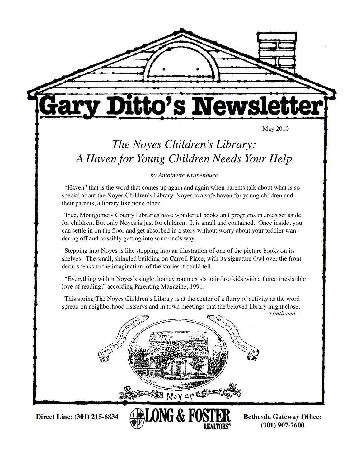

**<sup>(301) 907-7600</sup>**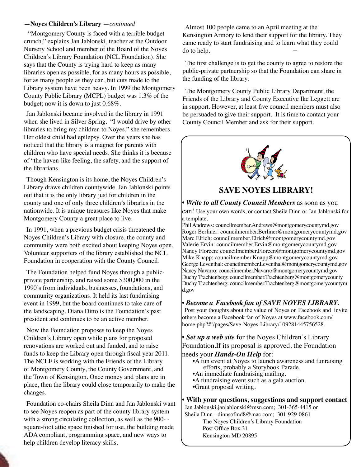#### **—Noyes Children's Library** —*continued*

"Montgomery County is faced with a terrible budget crunch," explains Jan Jablonski, teacher at the Outdoor Nursery School and member of the Board of the Noyes Children's Library Foundation (NCL Foundation). She says that the County is trying hard to keep as many libraries open as possible, for as many hours as possible, for as many people as they can, but cuts made to the Library system have been heavy. In 1999 the Montgomery County Public Library (MCPL) budget was 1.3% of the budget; now it is down to just 0.68%.

Jan Jablonski became involved in the library in 1991 when she lived in Silver Spring. "I would drive by other libraries to bring my children to Noyes," she remembers. Her oldest child had epilepsy. Over the years she has noticed that the library is a magnet for parents with children who have special needs. She thinks it is because of "the haven-like feeling, the safety, and the support of the librarians.

Though Kensington is its home, the Noyes Children's Library draws children countywide. Jan Jablonski points out that it is the only library just for children in the county and one of only three children's libraries in the nationwide. It is unique treasures like Noyes that make Montgomery County a great place to live.

In 1991, when a previous budget crisis threatened the Noyes Children's Library with closure, the county and community were both excited about keeping Noyes open. Volunteer supporters of the library established the NCL Foundation in cooperation with the County Council.

The Foundation helped fund Noyes through a publicprivate partnership, and raised some \$300,000 in the 1990's from individuals, businesses, foundations, and community organizations. It held its last fundraising event in 1999, but the board continues to take care of the landscaping. Diana Ditto is the Foundation's past president and continues to be an active member.

Now the Foundation proposes to keep the Noyes Children's Library open while plans for proposed renovations are worked out and funded, and to raise funds to keep the Library open through fiscal year 2011. The NCLF is working with the Friends of the Library of Montgomery County, the County Government, and the Town of Kensington. Once money and plans are in place, then the library could close temporarily to make the changes.

Foundation co-chairs Sheila Dinn and Jan Jablonski want to see Noyes reopen as part of the county library system with a strong circulating collection, as well as the 900-square-foot attic space finished for use, the building made ADA compliant, programming space, and new ways to help children develop literacy skills.

Almost 100 people came to an April meeting at the Kensington Armory to lend their support for the library. They came ready to start fundraising and to learn what they could do to help.

The first challenge is to get the county to agree to restore the public-private partnership so that the Foundation can share in the funding of the library.

The Montgomery County Public Library Department, the Friends of the Library and County Executive Ike Leggett are in support. However, at least five council members must also be persuaded to give their support. It is time to contact your County Council Member and ask for their support.



**SAVE NOYES LIBRARY!**

*• Write to all County Council Members* as soon as you can! Use your own words, or contact Sheila Dinn or Jan Jablonski for a template.

Phil Andrews: councilmember.Andrews@montgomerycountymd.gov Roger Berliner: councilmember.Berliner@montgomerycountymd.gov Marc Elrich: councilmember.Elrich@montgomerycountymd.gov Valerie Ervin: councilmember.Ervin@montgomerycountymd.gov Nancy Floreen: councilmember.Floreen@montgomerycountymd.gov Mike Knapp: councilmember.Knapp@montgomerycountymd.gov George Leventhal: councilmember.Leventhal@montgomerycountymd.gov Nancy Navarro: councilmember.Navarro@montgomerycountymd.gov Duchy Trachtenberg: councilmember.Trachtenberg@montgomerycounty Duchy Trachtenberg: councilmember.Trachtenberg@montgomerycountym d.gov

### *• Become a Facebook fan of SAVE NOYES LIBRARY.*

Post your thoughts about the value of Noyes on Facebook and invite others become a Facebook fan of Noyes at www.facebook.com/ home.php?#!/pages/Save-Noyes-Library/109281445756528.

*• Set up a web site* for the Noyes Children's Library Foundation.If its proposal is approved, the Foundation needs your *Hands-On Help* for:

- •A fun event at Noyes to launch awareness and funraising efforts, probably a Storybook Parade.
- •An immediate fundraising mailing.
- •A fundraising event such as a gala auction.
- •Grant proposal writing.

**• With your questions, suggestions and support contact**  Jan Jablonski.janjablonski@msn.com; 301-365-4415 or Sheila Dinn - dinnsofmd8@mac.com; 301-929-0861 The Noyes Children's Library Foundation

Post Office Box 31

Kensington MD 20895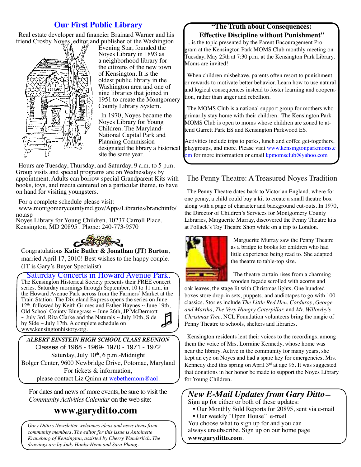## **Our First Public Library**

Real estate developer and financier Brainard Warner and his friend Crosby Noyes, editor and publisher of the Washington



Evening Star, founded the Noyes Library in 1893 as a neighborhood library for the citizens of the new town of Kensington. It is the oldest public library in the Washington area and one of nine libraries that joined in 1951 to create the Montgomery County Library System.

In 1970, Noyes became the Noyes Library for Young Children. The Maryland-National Capital Park and Planning Commission designated the library a historical site the same year.

Hours are Tuesday, Thursday, and Saturday, 9 a.m. to 5 p.m. Group visits and special programs are on Wednesdays by appointment. Adults can borrow special Grandparent Kits with books, toys, and media centered on a particular theme, to have on hand for visiting youngsters.

For a complete schedule please visit:

www.montgomerycountymd.gov/Apps/Libraries/branchinfo/ no.asp

Noyes Library for Young Children, 10237 Carroll Place, Kensington, MD 20895 . Phone: 240-773-9570



Congratulations **Katie Butler & Jonathan (JT) Burton**, married April 17, 2010! Best wishes to the happy couple. (JT is Gary's Buyer Specialist)

Saturday Concerts in Howard Avenue Park. The Kensington Historical Society presents their FREE concert series. Saturday mornings through September, 10 to 11 a.m. in the Howard Avenue Park across from the Farmers' Market at the Train Station. The Dixieland Express opens the series on June 12<sup>th</sup>, followed by Keith Grimes and Esther Haynes ~ June 19th, Old School County Bluegrass ~ June 26th, JP McDermott  $\sim$  July 3rd, Rita Clarke and the Naturals  $\sim$  July 10th, Side by Side  $\sim$  July 17th. A complete schedule on www.kensingtonhistory.org.

*ALBERT EINSTEIN HIGH SCHOOL CLASS REUNION* Classes of 1968 - 1969- 1970 - 1971 - 1972 Saturday, July  $10<sup>th</sup>$ , 6 p.m.-Midnight Bolger Center, 9600 Newbridge Drive, Potomac, Maryland For tickets & information, please contact Liz Quinn at webethemom@aol.

For dates and news of more events, be sure to visit the *Community Activities Calendar* on the web site:

## **www.garyditto.com**

*Gary Ditto's Newsletter welcomes ideas and news items from community members. The editor for this issue is Antoinette Kraneburg of Kensington, assisted by Cherry Wunderlich. The drawings are by Judy Hanks-Henn and Sara Phang.*

#### **"The Truth about Consequences: Effective Discipline without Punishment"**

...is the topic presented by the Parent Encouragement Program at the Kensington Park MOMS Club monthly meeting on Tuesday, May 25th at 7:30 p.m. at the Kensington Park Library. Moms are invited!

When children misbehave, parents often resort to punishment or rewards to motivate better behavior. Learn how to use natural and logical consequences instead to foster learning and cooperation, rather than anger and rebellion.

The MOMS Club is a national support group for mothers who primarily stay home with their children. The Kensington Park MOMS Club is open to moms whose children are zoned to attend Garrett Park ES and Kensington Parkwood ES.

Activities include trips to parks, lunch and coffee get-togethers, playgroups, and more. Please visit www.kensingtonparkmoms.c om for more information or email kpmomsclub@yahoo.com

## The Penny Theatre: A Treasured Noyes Tradition

The Penny Theatre dates back to Victorian England, where for one penny, a child could buy a kit to create a small theatre box along with a page of character and background cut-outs. In 1970, the Director of Children's Services for Montgomery County Libraries, Marguerite Murray, discovered the Penny Theatre kits at Pollack's Toy Theatre Shop while on a trip to London.



Marguerite Murray saw the Penny Theatre as a bridge to books for children who had little experience being read to. She adapted the theatre to table-top size.

The theatre curtain rises from a charming wooden façade scrolled with acorns and

oak leaves, the stage lit with Christmas lights. One hundred boxes store drop-in sets, puppets, and audiotapes to go with 100 classics. Stories include *The Little Red Hen*, *Corduroy*, *George and Martha, The Very Hungry Caterpillar,* and *Mr. Willowby's Christmas Tree*. NCL Foundation volunteers bring the magic of Penny Theatre to schools, shelters and libraries.

Kensington residents lent their voices to the recordings, among them the voice of Mrs. Lorraine Kennedy, whose home was near the library. Active in the community for many years, she kept an eye on Noyes and had a spare key for emergencies. Mrs. Kennedy died this spring on April  $3<sup>rd</sup>$  at age 95. It was suggested that donations in her honor be made to support the Noyes Library for Young Children.

## *New E-Mail Updates from Gary Ditto*—

Sign up for either or both of these updates:

- Our Monthly Sold Reports for 20895, sent via e-mail
- Our weekly "Open House" e-mail

You choose what to sign up for and you can always unsubscribe. Sign up on our home page **www.garyditto.com**.